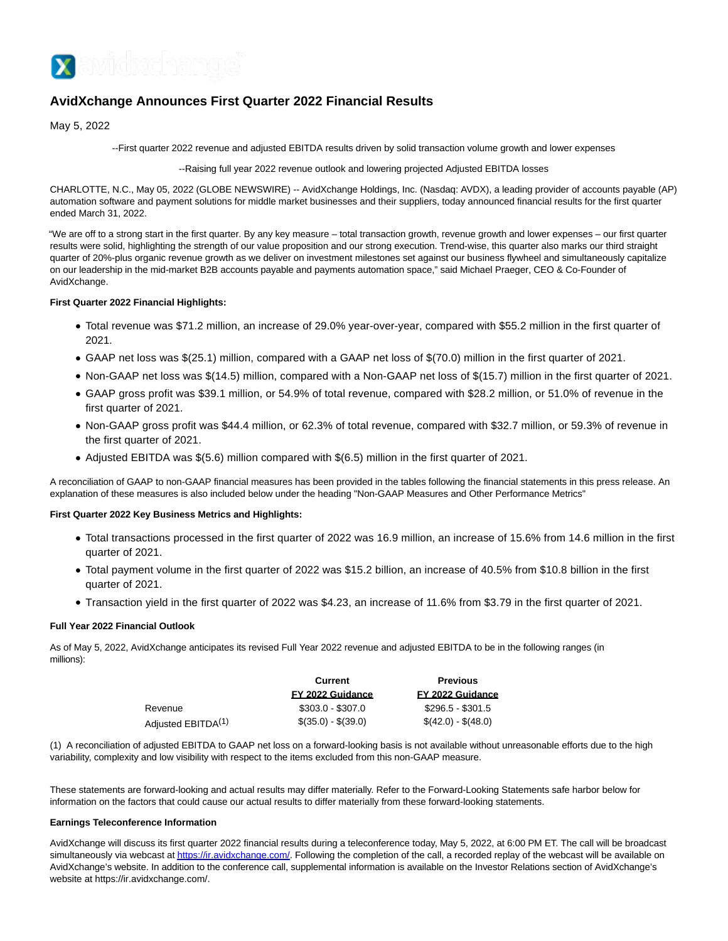

# **AvidXchange Announces First Quarter 2022 Financial Results**

May 5, 2022

--First quarter 2022 revenue and adjusted EBITDA results driven by solid transaction volume growth and lower expenses

--Raising full year 2022 revenue outlook and lowering projected Adjusted EBITDA losses

CHARLOTTE, N.C., May 05, 2022 (GLOBE NEWSWIRE) -- AvidXchange Holdings, Inc. (Nasdaq: AVDX), a leading provider of accounts payable (AP) automation software and payment solutions for middle market businesses and their suppliers, today announced financial results for the first quarter ended March 31, 2022.

"We are off to a strong start in the first quarter. By any key measure – total transaction growth, revenue growth and lower expenses – our first quarter results were solid, highlighting the strength of our value proposition and our strong execution. Trend-wise, this quarter also marks our third straight quarter of 20%-plus organic revenue growth as we deliver on investment milestones set against our business flywheel and simultaneously capitalize on our leadership in the mid-market B2B accounts payable and payments automation space," said Michael Praeger, CEO & Co-Founder of AvidXchange.

## **First Quarter 2022 Financial Highlights:**

- Total revenue was \$71.2 million, an increase of 29.0% year-over-year, compared with \$55.2 million in the first quarter of 2021.
- GAAP net loss was \$(25.1) million, compared with a GAAP net loss of \$(70.0) million in the first quarter of 2021.
- Non-GAAP net loss was \$(14.5) million, compared with a Non-GAAP net loss of \$(15.7) million in the first quarter of 2021.
- GAAP gross profit was \$39.1 million, or 54.9% of total revenue, compared with \$28.2 million, or 51.0% of revenue in the first quarter of 2021.
- Non-GAAP gross profit was \$44.4 million, or 62.3% of total revenue, compared with \$32.7 million, or 59.3% of revenue in the first quarter of 2021.
- Adjusted EBITDA was \$(5.6) million compared with \$(6.5) million in the first quarter of 2021.

A reconciliation of GAAP to non-GAAP financial measures has been provided in the tables following the financial statements in this press release. An explanation of these measures is also included below under the heading "Non-GAAP Measures and Other Performance Metrics"

#### **First Quarter 2022 Key Business Metrics and Highlights:**

- Total transactions processed in the first quarter of 2022 was 16.9 million, an increase of 15.6% from 14.6 million in the first quarter of 2021.
- Total payment volume in the first quarter of 2022 was \$15.2 billion, an increase of 40.5% from \$10.8 billion in the first quarter of 2021.
- Transaction yield in the first quarter of 2022 was \$4.23, an increase of 11.6% from \$3.79 in the first quarter of 2021.

#### **Full Year 2022 Financial Outlook**

As of May 5, 2022, AvidXchange anticipates its revised Full Year 2022 revenue and adjusted EBITDA to be in the following ranges (in millions):

|                                | Current             | <b>Previous</b>     |
|--------------------------------|---------------------|---------------------|
|                                | FY 2022 Guidance    | FY 2022 Guidance    |
| Revenue                        | \$303.0 - \$307.0   | \$296.5 - \$301.5   |
| Adjusted EBITDA <sup>(1)</sup> | $$(35.0) - $(39.0)$ | $$(42.0) - $(48.0)$ |

(1) A reconciliation of adjusted EBITDA to GAAP net loss on a forward-looking basis is not available without unreasonable efforts due to the high variability, complexity and low visibility with respect to the items excluded from this non-GAAP measure.

These statements are forward-looking and actual results may differ materially. Refer to the Forward-Looking Statements safe harbor below for information on the factors that could cause our actual results to differ materially from these forward-looking statements.

# **Earnings Teleconference Information**

AvidXchange will discuss its first quarter 2022 financial results during a teleconference today, May 5, 2022, at 6:00 PM ET. The call will be broadcast simultaneously via webcast a[t https://ir.avidxchange.com/.](https://www.globenewswire.com/Tracker?data=harl4iKtd5yqwugJ8Tsh4N_o60imRGsBfXYmTU1T0L1sYnLgiebwUVAPfnFZKf1W58xXMyUKS5yueVHGNp5POR7TDF4RsKfDv-dxuasElqY=) Following the completion of the call, a recorded replay of the webcast will be available on AvidXchange's website. In addition to the conference call, supplemental information is available on the Investor Relations section of AvidXchange's website at https://ir.avidxchange.com/.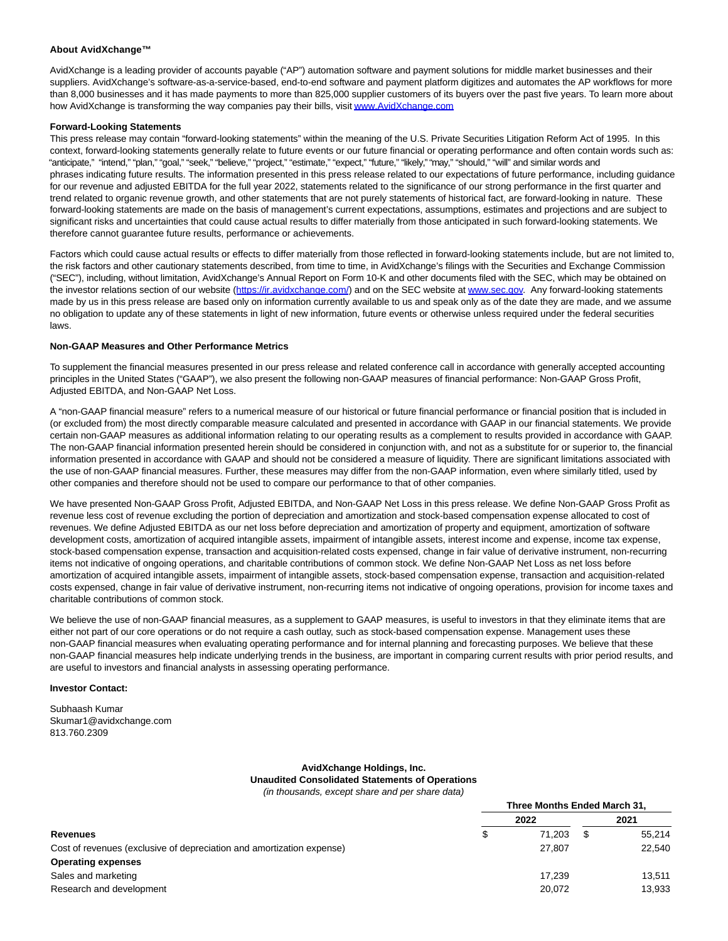# **About AvidXchange™**

AvidXchange is a leading provider of accounts payable ("AP") automation software and payment solutions for middle market businesses and their suppliers. AvidXchange's software-as-a-service-based, end-to-end software and payment platform digitizes and automates the AP workflows for more than 8,000 businesses and it has made payments to more than 825,000 supplier customers of its buyers over the past five years. To learn more about how AvidXchange is transforming the way companies pay their bills, visi[t www.AvidXchange.com](https://www.globenewswire.com/Tracker?data=YpJNYCelQ8scnc-8cIoV4jdsvw5SrsH8rbTohxY4Rj6nJHhFfmA0XNOMwPsmfF2peUKowCiltRfds2ApK8uqv4v60V-ZqzAN9DhC_4ODQs3M55bpUYch8j3A5zvUKVqY_MEDpzD-64ntX1E2tXVr7pfegwqp54RK9j9qKdpQca0=)

# **Forward-Looking Statements**

This press release may contain "forward-looking statements" within the meaning of the U.S. Private Securities Litigation Reform Act of 1995. In this context, forward-looking statements generally relate to future events or our future financial or operating performance and often contain words such as: "anticipate," "intend," "plan," "goal," "seek," "believe," "project," "estimate," "expect," "future," "likely," "may," "should," "will" and similar words and phrases indicating future results. The information presented in this press release related to our expectations of future performance, including guidance for our revenue and adjusted EBITDA for the full year 2022, statements related to the significance of our strong performance in the first quarter and trend related to organic revenue growth, and other statements that are not purely statements of historical fact, are forward-looking in nature. These forward-looking statements are made on the basis of management's current expectations, assumptions, estimates and projections and are subject to significant risks and uncertainties that could cause actual results to differ materially from those anticipated in such forward-looking statements. We therefore cannot guarantee future results, performance or achievements.

Factors which could cause actual results or effects to differ materially from those reflected in forward-looking statements include, but are not limited to, the risk factors and other cautionary statements described, from time to time, in AvidXchange's filings with the Securities and Exchange Commission ("SEC"), including, without limitation, AvidXchange's Annual Report on Form 10-K and other documents filed with the SEC, which may be obtained on the investor relations section of our website [\(https://ir.avidxchange.com/\)](https://www.globenewswire.com/Tracker?data=harl4iKtd5yqwugJ8Tsh4N_o60imRGsBfXYmTU1T0L2SYzE3MMITsDoo9oZ2zE3P4HWuC95yPxuw6BY1Na-Ykmk-u7S8PtUmbtG1FQrU6w0=) and on the SEC website at [www.sec.gov.](https://www.globenewswire.com/Tracker?data=36EMcUXWsC6cNiOaMA7oI95wk4HR3FeOWAZe-YvQYZJArSweWqHsnpPMGjsxu3FxU5spONMP6sXJ_OdBzF79eA==) Any forward-looking statements made by us in this press release are based only on information currently available to us and speak only as of the date they are made, and we assume no obligation to update any of these statements in light of new information, future events or otherwise unless required under the federal securities laws.

## **Non-GAAP Measures and Other Performance Metrics**

To supplement the financial measures presented in our press release and related conference call in accordance with generally accepted accounting principles in the United States ("GAAP"), we also present the following non-GAAP measures of financial performance: Non-GAAP Gross Profit, Adjusted EBITDA, and Non-GAAP Net Loss.

A "non-GAAP financial measure" refers to a numerical measure of our historical or future financial performance or financial position that is included in (or excluded from) the most directly comparable measure calculated and presented in accordance with GAAP in our financial statements. We provide certain non-GAAP measures as additional information relating to our operating results as a complement to results provided in accordance with GAAP. The non-GAAP financial information presented herein should be considered in conjunction with, and not as a substitute for or superior to, the financial information presented in accordance with GAAP and should not be considered a measure of liquidity. There are significant limitations associated with the use of non-GAAP financial measures. Further, these measures may differ from the non-GAAP information, even where similarly titled, used by other companies and therefore should not be used to compare our performance to that of other companies.

We have presented Non-GAAP Gross Profit, Adjusted EBITDA, and Non-GAAP Net Loss in this press release. We define Non-GAAP Gross Profit as revenue less cost of revenue excluding the portion of depreciation and amortization and stock-based compensation expense allocated to cost of revenues. We define Adjusted EBITDA as our net loss before depreciation and amortization of property and equipment, amortization of software development costs, amortization of acquired intangible assets, impairment of intangible assets, interest income and expense, income tax expense, stock-based compensation expense, transaction and acquisition-related costs expensed, change in fair value of derivative instrument, non-recurring items not indicative of ongoing operations, and charitable contributions of common stock. We define Non-GAAP Net Loss as net loss before amortization of acquired intangible assets, impairment of intangible assets, stock-based compensation expense, transaction and acquisition-related costs expensed, change in fair value of derivative instrument, non-recurring items not indicative of ongoing operations, provision for income taxes and charitable contributions of common stock.

We believe the use of non-GAAP financial measures, as a supplement to GAAP measures, is useful to investors in that they eliminate items that are either not part of our core operations or do not require a cash outlay, such as stock-based compensation expense. Management uses these non-GAAP financial measures when evaluating operating performance and for internal planning and forecasting purposes. We believe that these non-GAAP financial measures help indicate underlying trends in the business, are important in comparing current results with prior period results, and are useful to investors and financial analysts in assessing operating performance.

# **Investor Contact:**

Subhaash Kumar Skumar1@avidxchange.com 813.760.2309

### **AvidXchange Holdings, Inc. Unaudited Consolidated Statements of Operations** (in thousands, except share and per share data)

|                                                                       | Three Months Ended March 31, |        |  |        |
|-----------------------------------------------------------------------|------------------------------|--------|--|--------|
|                                                                       |                              | 2022   |  | 2021   |
| <b>Revenues</b>                                                       | \$                           | 71.203 |  | 55.214 |
| Cost of revenues (exclusive of depreciation and amortization expense) |                              | 27.807 |  | 22.540 |
| <b>Operating expenses</b>                                             |                              |        |  |        |
| Sales and marketing                                                   |                              | 17.239 |  | 13.511 |
| Research and development                                              |                              | 20,072 |  | 13,933 |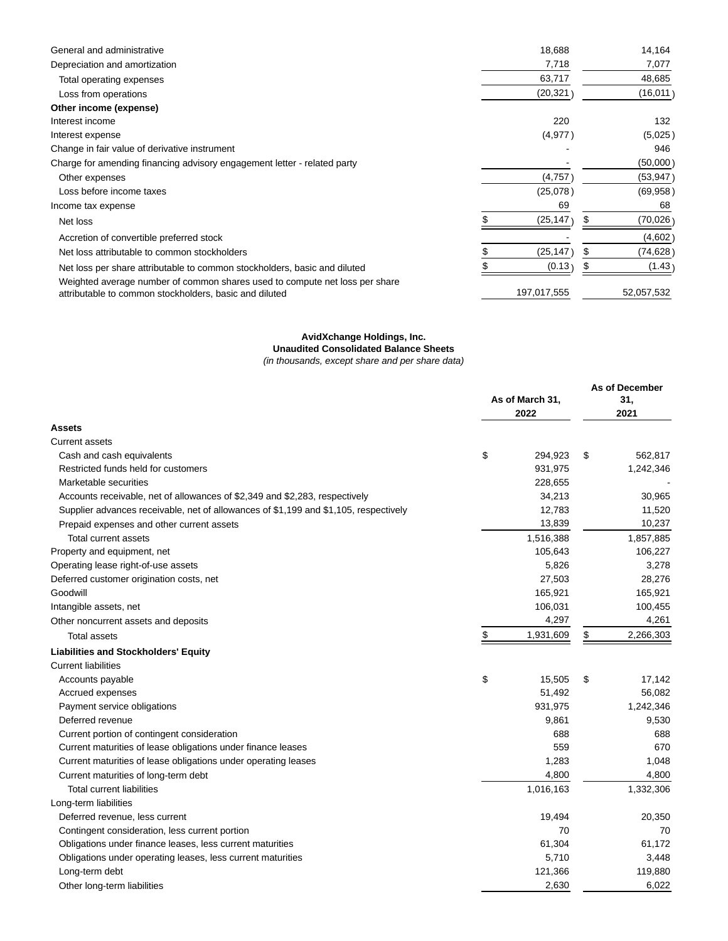| General and administrative                                                                                                            | 18,688      |   | 14,164     |
|---------------------------------------------------------------------------------------------------------------------------------------|-------------|---|------------|
| Depreciation and amortization                                                                                                         | 7,718       |   | 7,077      |
| Total operating expenses                                                                                                              | 63,717      |   | 48,685     |
| Loss from operations                                                                                                                  | (20, 321)   |   | (16, 011)  |
| Other income (expense)                                                                                                                |             |   |            |
| Interest income                                                                                                                       | 220         |   | 132        |
| Interest expense                                                                                                                      | (4,977)     |   | (5,025)    |
| Change in fair value of derivative instrument                                                                                         |             |   | 946        |
| Charge for amending financing advisory engagement letter - related party                                                              |             |   | (50,000)   |
| Other expenses                                                                                                                        | (4,757)     |   | (53, 947)  |
| Loss before income taxes                                                                                                              | (25,078)    |   | (69, 958)  |
| Income tax expense                                                                                                                    | 69          |   | 68         |
| Net loss                                                                                                                              | (25,147     |   | (70,026)   |
| Accretion of convertible preferred stock                                                                                              |             |   | (4,602)    |
| Net loss attributable to common stockholders                                                                                          | (25, 147)   | S | (74, 628)  |
| Net loss per share attributable to common stockholders, basic and diluted                                                             | (0.13)      |   | (1.43)     |
| Weighted average number of common shares used to compute net loss per share<br>attributable to common stockholders, basic and diluted | 197,017,555 |   | 52,057,532 |

#### **AvidXchange Holdings, Inc. Unaudited Consolidated Balance Sheets** (in thousands, except share and per share data)

|                                                                                      |    | As of March 31,<br>2022 |    | As of December<br>31,<br>2021 |  |
|--------------------------------------------------------------------------------------|----|-------------------------|----|-------------------------------|--|
| <b>Assets</b>                                                                        |    |                         |    |                               |  |
| <b>Current assets</b>                                                                |    |                         |    |                               |  |
| Cash and cash equivalents                                                            | \$ | 294,923                 | \$ | 562,817                       |  |
| Restricted funds held for customers                                                  |    | 931,975                 |    | 1,242,346                     |  |
| Marketable securities                                                                |    | 228,655                 |    |                               |  |
| Accounts receivable, net of allowances of \$2,349 and \$2,283, respectively          |    | 34,213                  |    | 30,965                        |  |
| Supplier advances receivable, net of allowances of \$1,199 and \$1,105, respectively |    | 12,783                  |    | 11,520                        |  |
| Prepaid expenses and other current assets                                            |    | 13,839                  |    | 10,237                        |  |
| Total current assets                                                                 |    | 1,516,388               |    | 1,857,885                     |  |
| Property and equipment, net                                                          |    | 105,643                 |    | 106,227                       |  |
| Operating lease right-of-use assets                                                  |    | 5,826                   |    | 3,278                         |  |
| Deferred customer origination costs, net                                             |    | 27,503                  |    | 28,276                        |  |
| Goodwill                                                                             |    | 165,921                 |    | 165,921                       |  |
| Intangible assets, net                                                               |    | 106,031                 |    | 100,455                       |  |
| Other noncurrent assets and deposits                                                 |    | 4,297                   |    | 4,261                         |  |
| <b>Total assets</b>                                                                  | \$ | 1,931,609               | \$ | 2,266,303                     |  |
| <b>Liabilities and Stockholders' Equity</b>                                          |    |                         |    |                               |  |
| <b>Current liabilities</b>                                                           |    |                         |    |                               |  |
| Accounts payable                                                                     | \$ | 15,505                  | \$ | 17,142                        |  |
| Accrued expenses                                                                     |    | 51,492                  |    | 56,082                        |  |
| Payment service obligations                                                          |    | 931,975                 |    | 1,242,346                     |  |
| Deferred revenue                                                                     |    | 9,861                   |    | 9,530                         |  |
| Current portion of contingent consideration                                          |    | 688                     |    | 688                           |  |
| Current maturities of lease obligations under finance leases                         |    | 559                     |    | 670                           |  |
| Current maturities of lease obligations under operating leases                       |    | 1,283                   |    | 1,048                         |  |
| Current maturities of long-term debt                                                 |    | 4,800                   |    | 4,800                         |  |
| <b>Total current liabilities</b>                                                     |    | 1,016,163               |    | 1,332,306                     |  |
| Long-term liabilities                                                                |    |                         |    |                               |  |
| Deferred revenue, less current                                                       |    | 19,494                  |    | 20,350                        |  |
| Contingent consideration, less current portion                                       |    | 70                      |    | 70                            |  |
| Obligations under finance leases, less current maturities                            |    | 61,304                  |    | 61,172                        |  |
| Obligations under operating leases, less current maturities                          |    | 5,710                   |    | 3,448                         |  |
| Long-term debt                                                                       |    | 121,366                 |    | 119,880                       |  |
| Other long-term liabilities                                                          |    | 2,630                   |    | 6,022                         |  |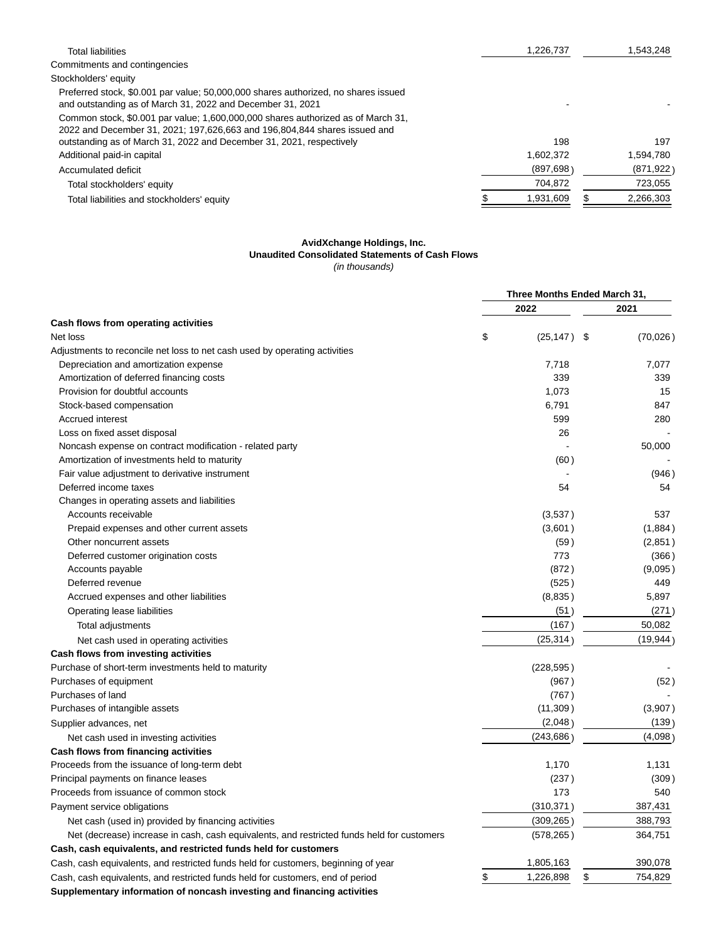| <b>Total liabilities</b>                                                                                                                                                                                                              | 1,226,737  | 1,543,248  |
|---------------------------------------------------------------------------------------------------------------------------------------------------------------------------------------------------------------------------------------|------------|------------|
| Commitments and contingencies                                                                                                                                                                                                         |            |            |
| Stockholders' equity                                                                                                                                                                                                                  |            |            |
| Preferred stock, \$0.001 par value; 50,000,000 shares authorized, no shares issued<br>and outstanding as of March 31, 2022 and December 31, 2021                                                                                      |            |            |
| Common stock, \$0.001 par value; 1,600,000,000 shares authorized as of March 31,<br>2022 and December 31, 2021; 197,626,663 and 196,804,844 shares issued and<br>outstanding as of March 31, 2022 and December 31, 2021, respectively | 198        | 197        |
| Additional paid-in capital                                                                                                                                                                                                            | 1.602.372  | 1,594,780  |
| Accumulated deficit                                                                                                                                                                                                                   | (897, 698) | (871, 922) |
| Total stockholders' equity                                                                                                                                                                                                            | 704,872    | 723,055    |
| Total liabilities and stockholders' equity                                                                                                                                                                                            | 1.931.609  | 2,266,303  |

#### **AvidXchange Holdings, Inc. Unaudited Consolidated Statements of Cash Flows** (in thousands)

|                                                                                            | Three Months Ended March 31, |            |      |           |
|--------------------------------------------------------------------------------------------|------------------------------|------------|------|-----------|
|                                                                                            |                              | 2022       |      | 2021      |
| Cash flows from operating activities                                                       |                              |            |      |           |
| Net loss                                                                                   | \$                           | (25, 147)  | - \$ | (70,026)  |
| Adjustments to reconcile net loss to net cash used by operating activities                 |                              |            |      |           |
| Depreciation and amortization expense                                                      |                              | 7,718      |      | 7,077     |
| Amortization of deferred financing costs                                                   |                              | 339        |      | 339       |
| Provision for doubtful accounts                                                            |                              | 1,073      |      | 15        |
| Stock-based compensation                                                                   |                              | 6,791      |      | 847       |
| Accrued interest                                                                           |                              | 599        |      | 280       |
| Loss on fixed asset disposal                                                               |                              | 26         |      |           |
| Noncash expense on contract modification - related party                                   |                              |            |      | 50,000    |
| Amortization of investments held to maturity                                               |                              | (60)       |      |           |
| Fair value adjustment to derivative instrument                                             |                              |            |      | (946)     |
| Deferred income taxes                                                                      |                              | 54         |      | 54        |
| Changes in operating assets and liabilities                                                |                              |            |      |           |
| Accounts receivable                                                                        |                              | (3,537)    |      | 537       |
| Prepaid expenses and other current assets                                                  |                              | (3,601)    |      | (1,884)   |
| Other noncurrent assets                                                                    |                              | (59)       |      | (2,851)   |
| Deferred customer origination costs                                                        |                              | 773        |      | (366)     |
| Accounts payable                                                                           |                              | (872)      |      | (9,095)   |
| Deferred revenue                                                                           |                              | (525)      |      | 449       |
| Accrued expenses and other liabilities                                                     |                              | (8,835)    |      | 5,897     |
| Operating lease liabilities                                                                |                              | (51)       |      | (271)     |
| Total adjustments                                                                          |                              | (167)      |      | 50,082    |
| Net cash used in operating activities                                                      |                              | (25, 314)  |      | (19, 944) |
| Cash flows from investing activities                                                       |                              |            |      |           |
| Purchase of short-term investments held to maturity                                        |                              | (228, 595) |      |           |
| Purchases of equipment                                                                     |                              | (967)      |      | (52)      |
| Purchases of land                                                                          |                              | (767)      |      |           |
| Purchases of intangible assets                                                             |                              | (11, 309)  |      | (3,907)   |
| Supplier advances, net                                                                     |                              | (2,048)    |      | (139)     |
| Net cash used in investing activities                                                      |                              | (243, 686) |      | (4,098)   |
| Cash flows from financing activities                                                       |                              |            |      |           |
| Proceeds from the issuance of long-term debt                                               |                              | 1,170      |      | 1,131     |
| Principal payments on finance leases                                                       |                              | (237)      |      | (309)     |
| Proceeds from issuance of common stock                                                     |                              | 173        |      | 540       |
| Payment service obligations                                                                |                              | (310, 371) |      | 387,431   |
| Net cash (used in) provided by financing activities                                        |                              | (309, 265) |      | 388,793   |
| Net (decrease) increase in cash, cash equivalents, and restricted funds held for customers |                              | (578, 265) |      | 364,751   |
| Cash, cash equivalents, and restricted funds held for customers                            |                              |            |      |           |
| Cash, cash equivalents, and restricted funds held for customers, beginning of year         |                              | 1,805,163  |      | 390,078   |
| Cash, cash equivalents, and restricted funds held for customers, end of period             | \$                           | 1,226,898  | \$   | 754,829   |
| Supplementary information of noncash investing and financing activities                    |                              |            |      |           |